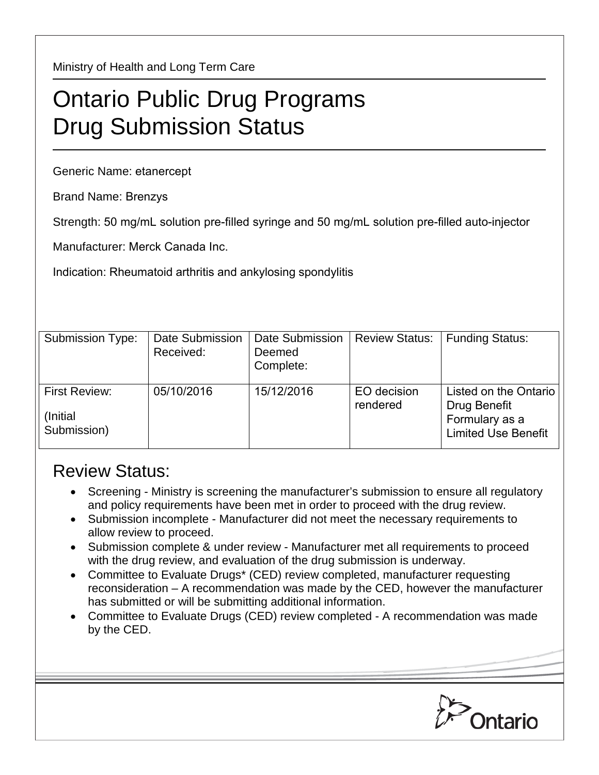Ministry of Health and Long Term Care

## Ontario Public Drug Programs Drug Submission Status

Generic Name: etanercept

Brand Name: Brenzys

Strength: 50 mg/mL solution pre-filled syringe and 50 mg/mL solution pre-filled auto-injector

Manufacturer: Merck Canada Inc.

Indication: Rheumatoid arthritis and ankylosing spondylitis

| Submission Type:                                 | Date Submission<br>Received: | Date Submission<br>Deemed<br>Complete: | <b>Review Status:</b>   | <b>Funding Status:</b>                                                                |
|--------------------------------------------------|------------------------------|----------------------------------------|-------------------------|---------------------------------------------------------------------------------------|
| <b>First Review:</b><br>(Initial)<br>Submission) | 05/10/2016                   | 15/12/2016                             | EO decision<br>rendered | Listed on the Ontario<br>Drug Benefit<br>Formulary as a<br><b>Limited Use Benefit</b> |

## Review Status:

- Screening Ministry is screening the manufacturer's submission to ensure all regulatory and policy requirements have been met in order to proceed with the drug review.
- Submission incomplete Manufacturer did not meet the necessary requirements to allow review to proceed.
- Submission complete & under review Manufacturer met all requirements to proceed with the drug review, and evaluation of the drug submission is underway.
- Committee to Evaluate Drugs\* (CED) review completed, manufacturer requesting reconsideration – A recommendation was made by the CED, however the manufacturer has submitted or will be submitting additional information.
- Committee to Evaluate Drugs (CED) review completed A recommendation was made by the CED.